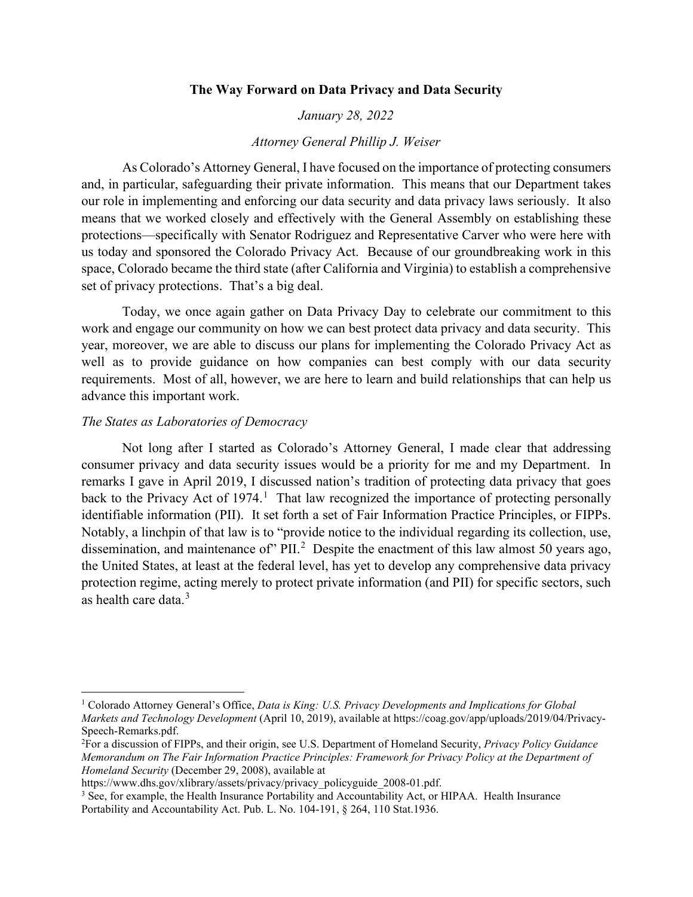## **The Way Forward on Data Privacy and Data Security**

### *January 28, 2022*

### *Attorney General Phillip J. Weiser*

As Colorado's Attorney General, I have focused on the importance of protecting consumers and, in particular, safeguarding their private information. This means that our Department takes our role in implementing and enforcing our data security and data privacy laws seriously. It also means that we worked closely and effectively with the General Assembly on establishing these protections—specifically with Senator Rodriguez and Representative Carver who were here with us today and sponsored the Colorado Privacy Act. Because of our groundbreaking work in this space, Colorado became the third state (after California and Virginia) to establish a comprehensive set of privacy protections. That's a big deal.

Today, we once again gather on Data Privacy Day to celebrate our commitment to this work and engage our community on how we can best protect data privacy and data security. This year, moreover, we are able to discuss our plans for implementing the Colorado Privacy Act as well as to provide guidance on how companies can best comply with our data security requirements. Most of all, however, we are here to learn and build relationships that can help us advance this important work.

#### *The States as Laboratories of Democracy*

Not long after I started as Colorado's Attorney General, I made clear that addressing consumer privacy and data security issues would be a priority for me and my Department. In remarks I gave in April 2019, I discussed nation's tradition of protecting data privacy that goes back to the Privacy Act of [1](#page-0-0)974.<sup>1</sup> That law recognized the importance of protecting personally identifiable information (PII). It set forth a set of Fair Information Practice Principles, or FIPPs. Notably, a linchpin of that law is to "provide notice to the individual regarding its collection, use, dissemination, and maintenance of"  $PIL^2$  $PIL^2$  Despite the enactment of this law almost 50 years ago, the United States, at least at the federal level, has yet to develop any comprehensive data privacy protection regime, acting merely to protect private information (and PII) for specific sectors, such as health care data. [3](#page-0-2)

https://www.dhs.gov/xlibrary/assets/privacy/privacy\_policyguide\_2008-01.pdf.

<span id="page-0-0"></span><sup>1</sup> Colorado Attorney General's Office, *Data is King: U.S. Privacy Developments and Implications for Global Markets and Technology Development* (April 10, 2019), available at https://coag.gov/app/uploads/2019/04/Privacy-Speech-Remarks.pdf.

<span id="page-0-1"></span><sup>2</sup> For a discussion of FIPPs, and their origin, see U.S. Department of Homeland Security, *Privacy Policy Guidance Memorandum on The Fair Information Practice Principles: Framework for Privacy Policy at the Department of Homeland Security* (December 29, 2008), available at

<span id="page-0-2"></span><sup>&</sup>lt;sup>3</sup> See, for example, the Health Insurance Portability and Accountability Act, or HIPAA. Health Insurance Portability and Accountability Act. Pub. L. No. 104-191, § 264, 110 Stat.1936.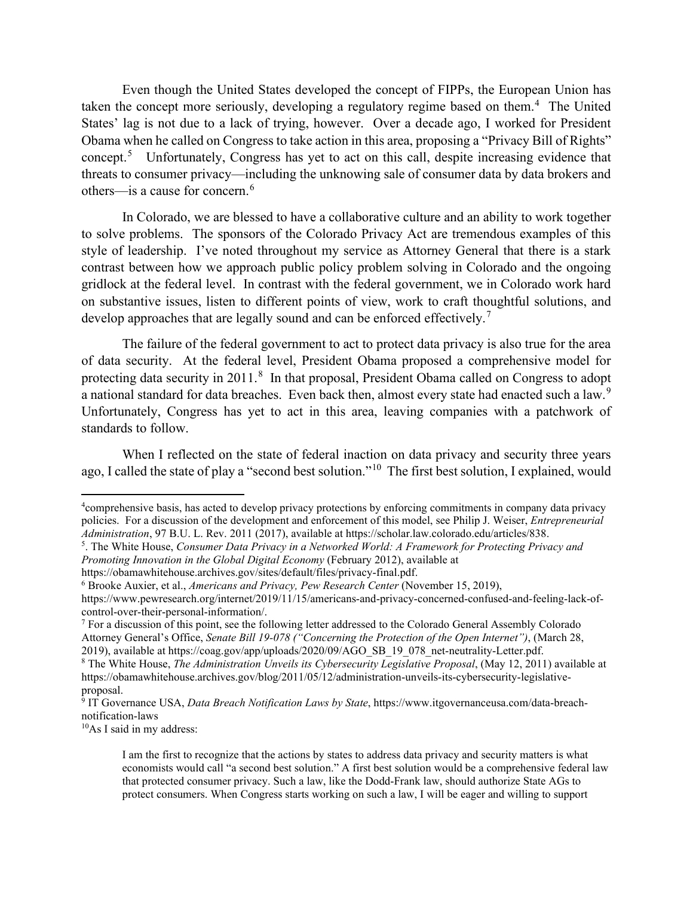Even though the United States developed the concept of FIPPs, the European Union has taken the concept more seriously, developing a regulatory regime based on them.<sup>[4](#page-1-0)</sup> The United States' lag is not due to a lack of trying, however. Over a decade ago, I worked for President Obama when he called on Congress to take action in this area, proposing a "Privacy Bill of Rights" concept.<sup>[5](#page-1-1)</sup> Unfortunately, Congress has yet to act on this call, despite increasing evidence that threats to consumer privacy—including the unknowing sale of consumer data by data brokers and others—is a cause for concern.[6](#page-1-2)

In Colorado, we are blessed to have a collaborative culture and an ability to work together to solve problems. The sponsors of the Colorado Privacy Act are tremendous examples of this style of leadership. I've noted throughout my service as Attorney General that there is a stark contrast between how we approach public policy problem solving in Colorado and the ongoing gridlock at the federal level. In contrast with the federal government, we in Colorado work hard on substantive issues, listen to different points of view, work to craft thoughtful solutions, and develop approaches that are legally sound and can be enforced effectively.<sup>[7](#page-1-3)</sup>

The failure of the federal government to act to protect data privacy is also true for the area of data security. At the federal level, President Obama proposed a comprehensive model for protecting data security in 2011.<sup>[8](#page-1-4)</sup> In that proposal, President Obama called on Congress to adopt a national standard for data breaches. Even back then, almost every state had enacted such a law.<sup>[9](#page-1-5)</sup> Unfortunately, Congress has yet to act in this area, leaving companies with a patchwork of standards to follow.

When I reflected on the state of federal inaction on data privacy and security three years ago, I called the state of play a "second best solution."[10](#page-1-6) The first best solution, I explained, would

https://obamawhitehouse.archives.gov/sites/default/files/privacy-final.pdf.

<span id="page-1-6"></span>10As I said in my address:

<span id="page-1-0"></span><sup>4</sup> comprehensive basis, has acted to develop privacy protections by enforcing commitments in company data privacy policies. For a discussion of the development and enforcement of this model, see Philip J. Weiser, *Entrepreneurial Administration*, 97 B.U. L. Rev. 2011 (2017), available at https://scholar.law.colorado.edu/articles/838.

<span id="page-1-1"></span><sup>5</sup> . The White House, *Consumer Data Privacy in a Networked World: A Framework for Protecting Privacy and Promoting Innovation in the Global Digital Economy* (February 2012), available at

<span id="page-1-2"></span><sup>6</sup> Brooke Auxier, et al., *Americans and Privacy, Pew Research Center* (November 15, 2019),

https://www.pewresearch.org/internet/2019/11/15/americans-and-privacy-concerned-confused-and-feeling-lack-ofcontrol-over-their-personal-information/.

<span id="page-1-3"></span> $<sup>7</sup>$  For a discussion of this point, see the following letter addressed to the Colorado General Assembly Colorado</sup> Attorney General's Office, *Senate Bill 19-078 ("Concerning the Protection of the Open Internet")*, (March 28, 2019), available at https://coag.gov/app/uploads/2020/09/AGO\_SB\_19\_078\_net-neutrality-Letter.pdf.

<span id="page-1-4"></span><sup>8</sup> The White House, *The Administration Unveils its Cybersecurity Legislative Proposal*, (May 12, 2011) available at https://obamawhitehouse.archives.gov/blog/2011/05/12/administration-unveils-its-cybersecurity-legislativeproposal.

<span id="page-1-5"></span><sup>9</sup> IT Governance USA, *Data Breach Notification Laws by State*, https://www.itgovernanceusa.com/data-breachnotification-laws

I am the first to recognize that the actions by states to address data privacy and security matters is what economists would call "a second best solution." A first best solution would be a comprehensive federal law that protected consumer privacy. Such a law, like the Dodd-Frank law, should authorize State AGs to protect consumers. When Congress starts working on such a law, I will be eager and willing to support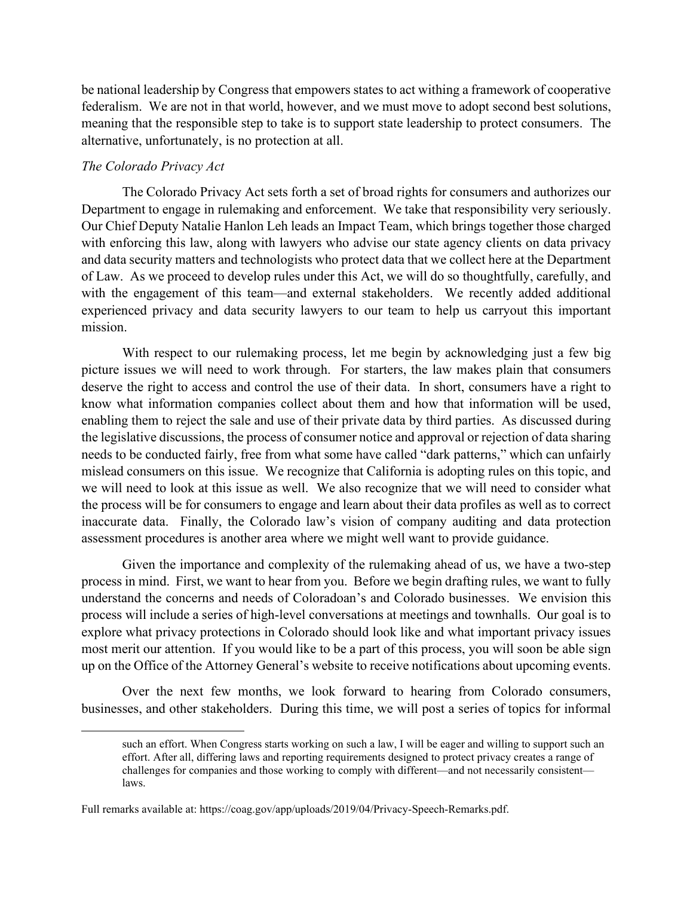be national leadership by Congress that empowers states to act withing a framework of cooperative federalism. We are not in that world, however, and we must move to adopt second best solutions, meaning that the responsible step to take is to support state leadership to protect consumers. The alternative, unfortunately, is no protection at all.

# *The Colorado Privacy Act*

The Colorado Privacy Act sets forth a set of broad rights for consumers and authorizes our Department to engage in rulemaking and enforcement. We take that responsibility very seriously. Our Chief Deputy Natalie Hanlon Leh leads an Impact Team, which brings together those charged with enforcing this law, along with lawyers who advise our state agency clients on data privacy and data security matters and technologists who protect data that we collect here at the Department of Law. As we proceed to develop rules under this Act, we will do so thoughtfully, carefully, and with the engagement of this team—and external stakeholders. We recently added additional experienced privacy and data security lawyers to our team to help us carryout this important mission.

With respect to our rulemaking process, let me begin by acknowledging just a few big picture issues we will need to work through. For starters, the law makes plain that consumers deserve the right to access and control the use of their data. In short, consumers have a right to know what information companies collect about them and how that information will be used, enabling them to reject the sale and use of their private data by third parties. As discussed during the legislative discussions, the process of consumer notice and approval or rejection of data sharing needs to be conducted fairly, free from what some have called "dark patterns," which can unfairly mislead consumers on this issue. We recognize that California is adopting rules on this topic, and we will need to look at this issue as well. We also recognize that we will need to consider what the process will be for consumers to engage and learn about their data profiles as well as to correct inaccurate data. Finally, the Colorado law's vision of company auditing and data protection assessment procedures is another area where we might well want to provide guidance.

Given the importance and complexity of the rulemaking ahead of us, we have a two-step process in mind. First, we want to hear from you. Before we begin drafting rules, we want to fully understand the concerns and needs of Coloradoan's and Colorado businesses. We envision this process will include a series of high-level conversations at meetings and townhalls. Our goal is to explore what privacy protections in Colorado should look like and what important privacy issues most merit our attention. If you would like to be a part of this process, you will soon be able sign up on the Office of the Attorney General's website to receive notifications about upcoming events.

Over the next few months, we look forward to hearing from Colorado consumers, businesses, and other stakeholders. During this time, we will post a series of topics for informal

such an effort. When Congress starts working on such a law, I will be eager and willing to support such an effort. After all, differing laws and reporting requirements designed to protect privacy creates a range of challenges for companies and those working to comply with different—and not necessarily consistent laws.

Full remarks available at: https://coag.gov/app/uploads/2019/04/Privacy-Speech-Remarks.pdf.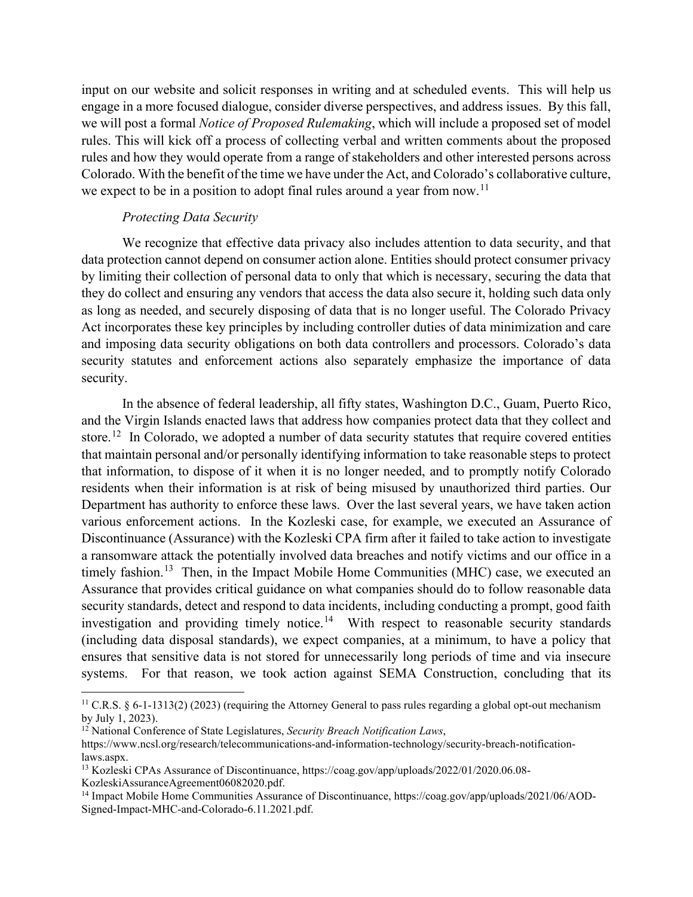input on our website and solicit responses in writing and at scheduled events. This will help us engage in a more focused dialogue, consider diverse perspectives, and address issues. By this fall, we will post a formal *Notice of Proposed Rulemaking*, which will include a proposed set of model rules. This will kick off a process of collecting verbal and written comments about the proposed rules and how they would operate from a range of stakeholders and other interested persons across Colorado. With the benefit of the time we have under the Act, and Colorado's collaborative culture, we expect to be in a position to adopt final rules around a year from now.<sup>[11](#page-3-0)</sup>

# *Protecting Data Security*

We recognize that effective data privacy also includes attention to data security, and that data protection cannot depend on consumer action alone. Entities should protect consumer privacy by limiting their collection of personal data to only that which is necessary, securing the data that they do collect and ensuring any vendors that access the data also secure it, holding such data only as long as needed, and securely disposing of data that is no longer useful. The Colorado Privacy Act incorporates these key principles by including controller duties of data minimization and care and imposing data security obligations on both data controllers and processors. Colorado's data security statutes and enforcement actions also separately emphasize the importance of data security.

In the absence of federal leadership, all fifty states, Washington D.C., Guam, Puerto Rico, and the Virgin Islands enacted laws that address how companies protect data that they collect and store.<sup>[12](#page-3-1)</sup> In Colorado, we adopted a number of data security statutes that require covered entities that maintain personal and/or personally identifying information to take reasonable steps to protect that information, to dispose of it when it is no longer needed, and to promptly notify Colorado residents when their information is at risk of being misused by unauthorized third parties. Our Department has authority to enforce these laws. Over the last several years, we have taken action various enforcement actions. In the Kozleski case, for example, we executed an Assurance of Discontinuance (Assurance) with the Kozleski CPA firm after it failed to take action to investigate a ransomware attack the potentially involved data breaches and notify victims and our office in a timely fashion.<sup>[13](#page-3-2)</sup> Then, in the Impact Mobile Home Communities (MHC) case, we executed an Assurance that provides critical guidance on what companies should do to follow reasonable data security standards, detect and respond to data incidents, including conducting a prompt, good faith investigation and providing timely notice.<sup>14</sup> With respect to reasonable security standards (including data disposal standards), we expect companies, at a minimum, to have a policy that ensures that sensitive data is not stored for unnecessarily long periods of time and via insecure systems. For that reason, we took action against SEMA Construction, concluding that its

<span id="page-3-0"></span><sup>&</sup>lt;sup>11</sup> C.R.S. § 6-1-1313(2) (2023) (requiring the Attorney General to pass rules regarding a global opt-out mechanism by July 1, 2023).

<span id="page-3-1"></span><sup>12</sup> National Conference of State Legislatures, *Security Breach Notification Laws*,

https://www.ncsl.org/research/telecommunications-and-information-technology/security-breach-notificationlaws.aspx.

<span id="page-3-2"></span><sup>13</sup> Kozleski CPAs Assurance of Discontinuance, https://coag.gov/app/uploads/2022/01/2020.06.08- KozleskiAssuranceAgreement06082020.pdf.

<span id="page-3-3"></span><sup>&</sup>lt;sup>14</sup> Impact Mobile Home Communities Assurance of Discontinuance, https://coag.gov/app/uploads/2021/06/AOD-Signed-Impact-MHC-and-Colorado-6.11.2021.pdf.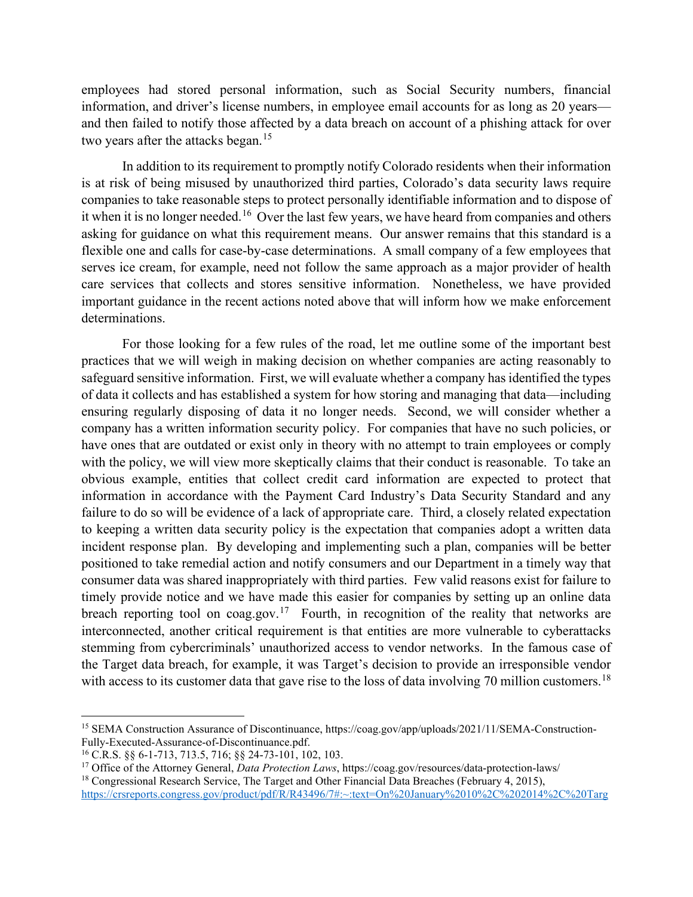employees had stored personal information, such as Social Security numbers, financial information, and driver's license numbers, in employee email accounts for as long as 20 years and then failed to notify those affected by a data breach on account of a phishing attack for over two years after the attacks began.<sup>[15](#page-4-0)</sup>

In addition to its requirement to promptly notify Colorado residents when their information is at risk of being misused by unauthorized third parties, Colorado's data security laws require companies to take reasonable steps to protect personally identifiable information and to dispose of it when it is no longer needed.<sup>[16](#page-4-1)</sup> Over the last few years, we have heard from companies and others asking for guidance on what this requirement means. Our answer remains that this standard is a flexible one and calls for case-by-case determinations. A small company of a few employees that serves ice cream, for example, need not follow the same approach as a major provider of health care services that collects and stores sensitive information. Nonetheless, we have provided important guidance in the recent actions noted above that will inform how we make enforcement determinations.

For those looking for a few rules of the road, let me outline some of the important best practices that we will weigh in making decision on whether companies are acting reasonably to safeguard sensitive information. First, we will evaluate whether a company hasidentified the types of data it collects and has established a system for how storing and managing that data—including ensuring regularly disposing of data it no longer needs. Second, we will consider whether a company has a written information security policy. For companies that have no such policies, or have ones that are outdated or exist only in theory with no attempt to train employees or comply with the policy, we will view more skeptically claims that their conduct is reasonable. To take an obvious example, entities that collect credit card information are expected to protect that information in accordance with the Payment Card Industry's Data Security Standard and any failure to do so will be evidence of a lack of appropriate care. Third, a closely related expectation to keeping a written data security policy is the expectation that companies adopt a written data incident response plan. By developing and implementing such a plan, companies will be better positioned to take remedial action and notify consumers and our Department in a timely way that consumer data was shared inappropriately with third parties. Few valid reasons exist for failure to timely provide notice and we have made this easier for companies by setting up an online data breach reporting tool on coag.gov.<sup>[17](#page-4-2)</sup> Fourth, in recognition of the reality that networks are interconnected, another critical requirement is that entities are more vulnerable to cyberattacks stemming from cybercriminals' unauthorized access to vendor networks. In the famous case of the Target data breach, for example, it was Target's decision to provide an irresponsible vendor with access to its customer data that gave rise to the loss of data involving 70 million customers.<sup>[18](#page-4-3)</sup>

<span id="page-4-0"></span><sup>15</sup> SEMA Construction Assurance of Discontinuance, https://coag.gov/app/uploads/2021/11/SEMA-Construction-Fully-Executed-Assurance-of-Discontinuance.pdf.

<span id="page-4-1"></span><sup>16</sup> C.R.S. §§ 6-1-713, 713.5, 716; §§ 24-73-101, 102, 103.

<span id="page-4-2"></span><sup>17</sup> Office of the Attorney General, *Data Protection Laws*, https://coag.gov/resources/data-protection-laws/

<span id="page-4-3"></span><sup>&</sup>lt;sup>18</sup> Congressional Research Service, The Target and Other Financial Data Breaches (February 4, 2015), [https://crsreports.congress.gov/product/pdf/R/R43496/7#:~:text=On%20January%2010%2C%202014%2C%20Targ](https://crsreports.congress.gov/product/pdf/R/R43496/7#:%7E:text=On%20January%2010%2C%202014%2C%20Target%20announced%20that%20personal,missed%20opportunities%20to%20prevent%20the%20data%20breach.%20Target.)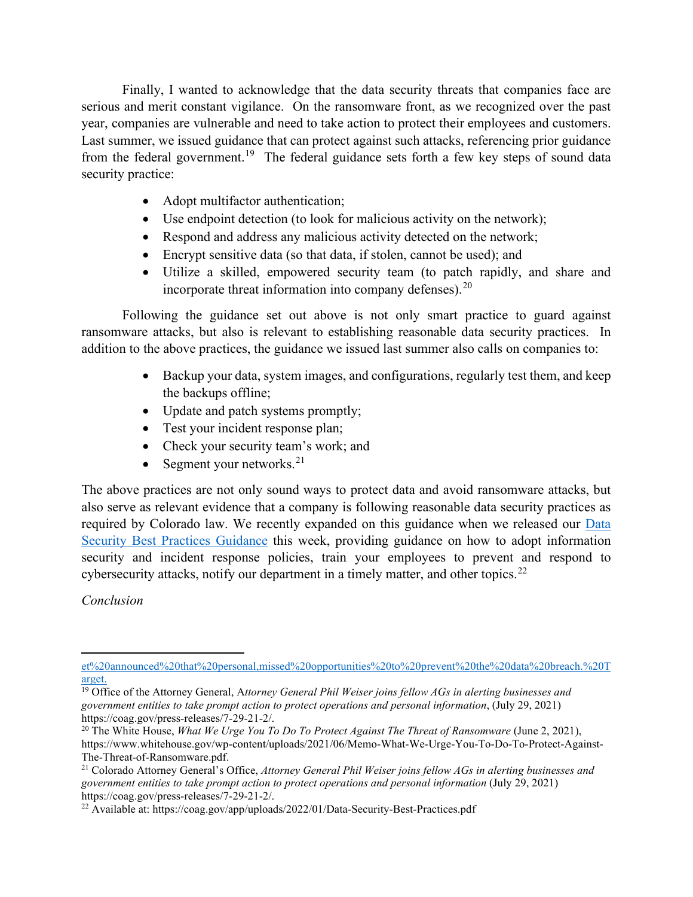Finally, I wanted to acknowledge that the data security threats that companies face are serious and merit constant vigilance. On the ransomware front, as we recognized over the past year, companies are vulnerable and need to take action to protect their employees and customers. Last summer, we issued guidance that can protect against such attacks, referencing prior guidance from the federal government.<sup>[19](#page-5-0)</sup> The federal guidance sets forth a few key steps of sound data security practice:

- Adopt multifactor authentication;
- Use endpoint detection (to look for malicious activity on the network);
- Respond and address any malicious activity detected on the network;
- Encrypt sensitive data (so that data, if stolen, cannot be used); and
- Utilize a skilled, empowered security team (to patch rapidly, and share and incorporate threat information into company defenses). $^{20}$  $^{20}$  $^{20}$

Following the guidance set out above is not only smart practice to guard against ransomware attacks, but also is relevant to establishing reasonable data security practices. In addition to the above practices, the guidance we issued last summer also calls on companies to:

- Backup your data, system images, and configurations, regularly test them, and keep the backups offline;
- Update and patch systems promptly;
- Test your incident response plan;
- Check your security team's work; and
- Segment your networks. $21$

The above practices are not only sound ways to protect data and avoid ransomware attacks, but also serve as relevant evidence that a company is following reasonable data security practices as required by Colorado law. We recently expanded on this guidance when we released our [Data](https://coag.gov/app/uploads/2022/01/Data-Security-Best-Practices.pdf)  [Security Best Practices Guidance](https://coag.gov/app/uploads/2022/01/Data-Security-Best-Practices.pdf) this week, providing guidance on how to adopt information security and incident response policies, train your employees to prevent and respond to cybersecurity attacks, notify our department in a timely matter, and other topics.<sup>[22](#page-5-3)</sup>

*Conclusion*

[et%20announced%20that%20personal,missed%20opportunities%20to%20prevent%20the%20data%20breach.%20T](https://crsreports.congress.gov/product/pdf/R/R43496/7#:%7E:text=On%20January%2010%2C%202014%2C%20Target%20announced%20that%20personal,missed%20opportunities%20to%20prevent%20the%20data%20breach.%20Target.) [arget.](https://crsreports.congress.gov/product/pdf/R/R43496/7#:%7E:text=On%20January%2010%2C%202014%2C%20Target%20announced%20that%20personal,missed%20opportunities%20to%20prevent%20the%20data%20breach.%20Target.)

<span id="page-5-0"></span><sup>19</sup> Office of the Attorney General, A*ttorney General Phil Weiser joins fellow AGs in alerting businesses and government entities to take prompt action to protect operations and personal information*, (July 29, 2021) https://coag.gov/press-releases/7-29-21-2/.

<span id="page-5-1"></span><sup>20</sup> The White House, *What We Urge You To Do To Protect Against The Threat of Ransomware* (June 2, 2021), https://www.whitehouse.gov/wp-content/uploads/2021/06/Memo-What-We-Urge-You-To-Do-To-Protect-Against-The-Threat-of-Ransomware.pdf.

<span id="page-5-2"></span><sup>21</sup> Colorado Attorney General's Office, *Attorney General Phil Weiser joins fellow AGs in alerting businesses and government entities to take prompt action to protect operations and personal information* (July 29, 2021) https://coag.gov/press-releases/7-29-21-2/.

<span id="page-5-3"></span><sup>22</sup> Available at: https://coag.gov/app/uploads/2022/01/Data-Security-Best-Practices.pdf